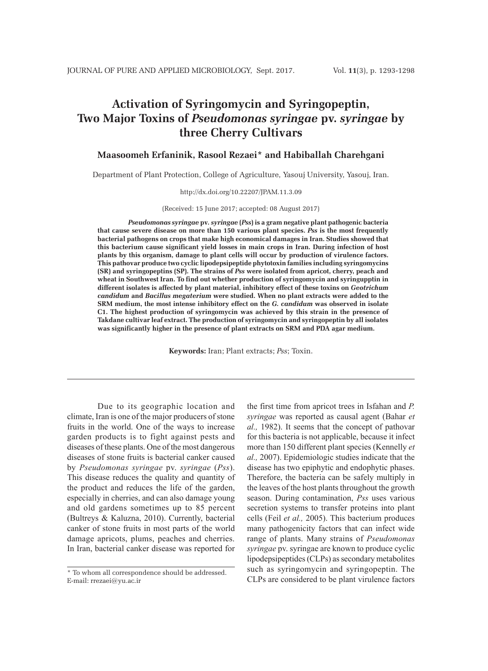# **Activation of Syringomycin and Syringopeptin, Two Major Toxins of** *Pseudomonas syringae* **pv.** *syringae* **by three Cherry Cultivars**

## **Maasoomeh Erfaninik, Rasool Rezaei\* and Habiballah Charehgani**

Department of Plant Protection, College of Agriculture, Yasouj University, Yasouj, Iran.

#### http://dx.doi.org/10.22207/JPAM.11.3.09

#### (Received: 15 June 2017; accepted: 08 August 2017)

*Pseudomonas syringae* **pv***. syringae* **(***Pss***) is a gram negative plant pathogenic bacteria that cause severe disease on more than 150 various plant species.** *Pss* **is the most frequently bacterial pathogens on crops that make high economical damages in Iran. Studies showed that this bacterium cause significant yield losses in main crops in Iran. During infection of host plants by this organism, damage to plant cells will occur by production of virulence factors. This pathovar produce two cyclic lipodepsipeptide phytotoxin families including syringomycins (SR) and syringopeptins (SP). The strains of** *Pss* **were isolated from apricot, cherry, peach and wheat in Southwest Iran. To find out whether production of syringomycin and syringupptin in different isolates is affected by plant material, inhibitory effect of these toxins on** *Geotrichum candidum* **and** *Bacillus megaterium* **were studied. When no plant extracts were added to the SRM medium, the most intense inhibitory effect on the** *G. candidum* **was observed in isolate C1. The highest production of syringomycin was achieved by this strain in the presence of Takdane cultivar leaf extract. The production of syringomycin and syringopeptin by all isolates was significantly higher in the presence of plant extracts on SRM and PDA agar medium.**

**Keywords:** Iran; Plant extracts; *Pss*; Toxin.

Due to its geographic location and climate, Iran is one of the major producers of stone fruits in the world. One of the ways to increase garden products is to fight against pests and diseases of these plants. One of the most dangerous diseases of stone fruits is bacterial canker caused by *Pseudomonas syringae* pv. *syringae* (*Pss*). This disease reduces the quality and quantity of the product and reduces the life of the garden, especially in cherries, and can also damage young and old gardens sometimes up to 85 percent (Bultreys & Kaluzna, 2010). Currently, bacterial canker of stone fruits in most parts of the world damage apricots, plums, peaches and cherries. In Iran, bacterial canker disease was reported for

the first time from apricot trees in Isfahan and *P. syringae* was reported as causal agent (Bahar *et al.,* 1982). It seems that the concept of pathovar for this bacteria is not applicable, because it infect more than 150 different plant species (Kennelly *et al.,* 2007). Epidemiologic studies indicate that the disease has two epiphytic and endophytic phases. Therefore, the bacteria can be safely multiply in the leaves of the host plants throughout the growth season. During contamination, *Pss* uses various secretion systems to transfer proteins into plant cells (Feil *et al.,* 2005). This bacterium produces many pathogenicity factors that can infect wide range of plants. Many strains of *Pseudomonas syringae* pv. syringae are known to produce cyclic lipodepsipeptides (CLPs) as secondary metabolites such as syringomycin and syringopeptin. The CLPs are considered to be plant virulence factors

<sup>\*</sup> To whom all correspondence should be addressed. E-mail: rrezaei@yu.ac.ir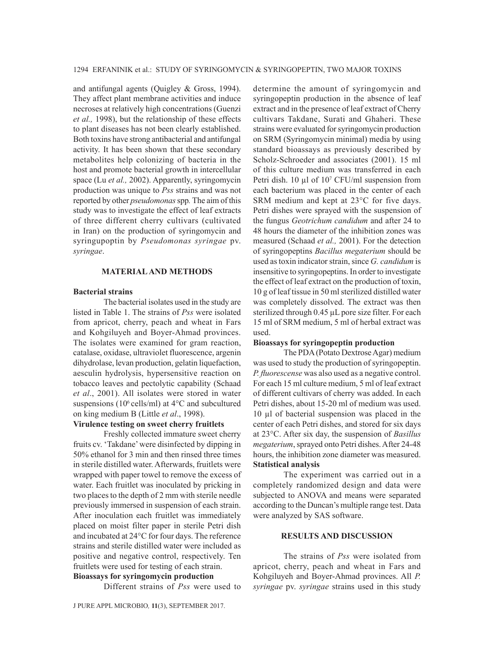and antifungal agents (Quigley & Gross, 1994). They affect plant membrane activities and induce necroses at relatively high concentrations (Guenzi *et al.,* 1998), but the relationship of these effects to plant diseases has not been clearly established. Both toxins have strong antibacterial and antifungal activity. It has been shown that these secondary metabolites help colonizing of bacteria in the host and promote bacterial growth in intercellular space (Lu *et al.,* 2002). Apparently, syringomycin production was unique to *Pss* strains and was not reported by other *pseudomonas* spp*.* The aim of this study was to investigate the effect of leaf extracts of three different cherry cultivars (cultivated in Iran) on the production of syringomycin and syringupoptin by *Pseudomonas syringae* pv. *syringae*.

### **MATERIAL AND METHODS**

### **Bacterial strains**

The bacterial isolates used in the study are listed in Table 1. The strains of *Pss* were isolated from apricot, cherry, peach and wheat in Fars and Kohgiluyeh and Boyer-Ahmad provinces. The isolates were examined for gram reaction, catalase, oxidase, ultraviolet fluorescence, argenin dihydrolase, levan production, gelatin liquefaction, aesculin hydrolysis, hypersensitive reaction on tobacco leaves and pectolytic capability (Schaad *et al*., 2001). All isolates were stored in water suspensions (10 $6$  cells/ml) at 4 $\rm{°C}$  and subcultured on king medium B (Little *et al*., 1998).

# **Virulence testing on sweet cherry fruitlets**

Freshly collected immature sweet cherry fruits cv. 'Takdane' were disinfected by dipping in 50% ethanol for 3 min and then rinsed three times in sterile distilled water. Afterwards, fruitlets were wrapped with paper towel to remove the excess of water. Each fruitlet was inoculated by pricking in two places to the depth of 2 mm with sterile needle previously immersed in suspension of each strain. After inoculation each fruitlet was immediately placed on moist filter paper in sterile Petri dish and incubated at 24°C for four days. The reference strains and sterile distilled water were included as positive and negative control, respectively. Ten fruitlets were used for testing of each strain.

**Bioassays for syringomycin production** Different strains of *Pss* were used to

J PURE APPL MICROBIO*,* **11**(3), SEPTEMBER 2017.

determine the amount of syringomycin and syringopeptin production in the absence of leaf extract and in the presence of leaf extract of Cherry cultivars Takdane, Surati and Ghaheri. These strains were evaluated for syringomycin production on SRM (Syringomycin minimal) media by using standard bioassays as previously described by Scholz-Schroeder and associates (2001). 15 ml of this culture medium was transferred in each Petri dish.  $10 \mu l$  of  $10^7$  CFU/ml suspension from each bacterium was placed in the center of each SRM medium and kept at 23°C for five days. Petri dishes were sprayed with the suspension of the fungus *Geotrichum candidum* and after 24 to 48 hours the diameter of the inhibition zones was measured (Schaad *et al.,* 2001). For the detection of syringopeptins *Bacillus megaterium* should be used as toxin indicator strain, since *G. candidum* is insensitive to syringopeptins. In order to investigate the effect of leaf extract on the production of toxin, 10 g of leaf tissue in 50 ml sterilized distilled water was completely dissolved. The extract was then sterilized through 0.45 µL pore size filter. For each 15 ml of SRM medium, 5 ml of herbal extract was used.

### **Bioassays for syringopeptin production**

The PDA (Potato Dextrose Agar) medium was used to study the production of syringopeptin. *P. fluorescense* was also used as a negative control. For each 15 ml culture medium, 5 ml of leaf extract of different cultivars of cherry was added. In each Petri dishes, about 15-20 ml of medium was used. 10 µl of bacterial suspension was placed in the center of each Petri dishes, and stored for six days at 23°C. After six day, the suspension of *Basillus megaterium*, sprayed onto Petri dishes. After 24-48 hours, the inhibition zone diameter was measured. **Statistical analysis**

The experiment was carried out in a completely randomized design and data were subjected to ANOVA and means were separated according to the Duncan's multiple range test. Data were analyzed by SAS software.

## **RESULTS AND DISCUSSION**

The strains of *Pss* were isolated from apricot, cherry, peach and wheat in Fars and Kohgiluyeh and Boyer-Ahmad provinces. All *P. syringae* pv. *syringae* strains used in this study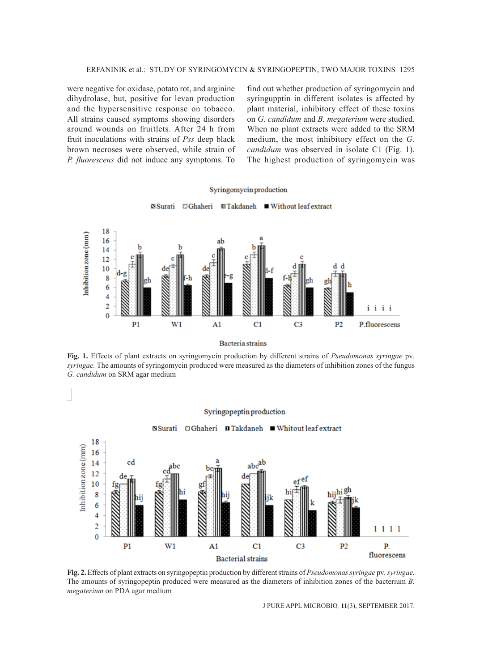were negative for oxidase, potato rot, and arginine dihydrolase, but, positive for levan production and the hypersensitive response on tobacco. All strains caused symptoms showing disorders around wounds on fruitlets. After 24 h from fruit inoculations with strains of *Pss* deep black brown necroses were observed, while strain of *P. fluorescens* did not induce any symptoms. To find out whether production of syringomycin and syringupptin in different isolates is affected by plant material, inhibitory effect of these toxins on *G. candidum* and *B. megaterium* were studied. When no plant extracts were added to the SRM medium, the most inhibitory effect on the *G. candidum* was observed in isolate C1 (Fig. 1). The highest production of syringomycin was



**Fig. 1.** Effects of plant extracts on syringomycin production by different strains of *Pseudomonas syringae* pv*. syringae.* The amounts of syringomycin produced were measured as the diameters of inhibition zones of the fungus *G. candidum* on SRM agar medium





J PURE APPL MICROBIO*,* **11**(3), SEPTEMBER 2017.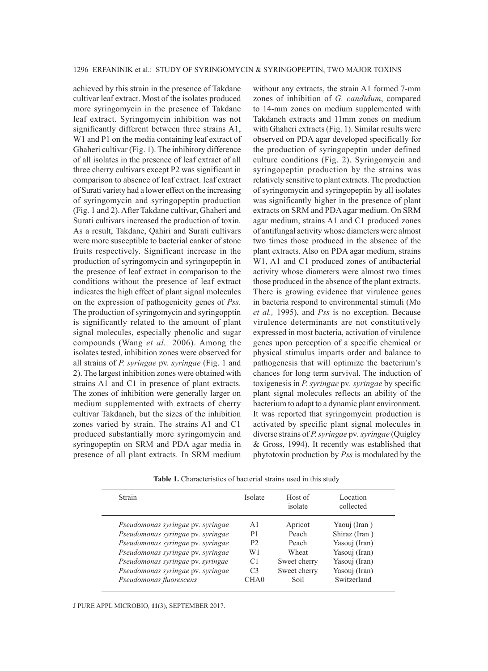achieved by this strain in the presence of Takdane cultivar leaf extract. Most of the isolates produced more syringomycin in the presence of Takdane leaf extract. Syringomycin inhibition was not significantly different between three strains A1, W1 and P1 on the media containing leaf extract of Ghaheri cultivar (Fig. 1). The inhibitory difference of all isolates in the presence of leaf extract of all three cherry cultivars except P2 was significant in comparison to absence of leaf extract. leaf extract of Surati variety had a lower effect on the increasing of syringomycin and syringopeptin production (Fig. 1 and 2). After Takdane cultivar, Ghaheri and Surati cultivars increased the production of toxin. As a result, Takdane, Qahiri and Surati cultivars were more susceptible to bacterial canker of stone fruits respectively. Significant increase in the production of syringomycin and syringopeptin in the presence of leaf extract in comparison to the conditions without the presence of leaf extract indicates the high effect of plant signal molecules on the expression of pathogenicity genes of *Pss*. The production of syringomycin and syringopptin is significantly related to the amount of plant signal molecules, especially phenolic and sugar compounds (Wang *et al.,* 2006). Among the isolates tested, inhibition zones were observed for all strains of *P. syringae* pv. *syringae* (Fig. 1 and 2). The largest inhibition zones were obtained with strains A1 and C1 in presence of plant extracts. The zones of inhibition were generally larger on medium supplemented with extracts of cherry cultivar Takdaneh, but the sizes of the inhibition zones varied by strain. The strains A1 and C1 produced substantially more syringomycin and syringopeptin on SRM and PDA agar media in presence of all plant extracts. In SRM medium

without any extracts, the strain A1 formed 7-mm zones of inhibition of *G. candidum*, compared to 14-mm zones on medium supplemented with Takdaneh extracts and 11mm zones on medium with Ghaheri extracts (Fig. 1). Similar results were observed on PDA agar developed specifically for the production of syringopeptin under defined culture conditions (Fig. 2). Syringomycin and syringopeptin production by the strains was relatively sensitive to plant extracts. The production of syringomycin and syringopeptin by all isolates was significantly higher in the presence of plant extracts on SRM and PDA agar medium. On SRM agar medium, strains A1 and C1 produced zones of antifungal activity whose diameters were almost two times those produced in the absence of the plant extracts. Also on PDA agar medium, strains W1, A1 and C1 produced zones of antibacterial activity whose diameters were almost two times those produced in the absence of the plant extracts. There is growing evidence that virulence genes in bacteria respond to environmental stimuli (Mo *et al.,* 1995), and *Pss* is no exception. Because virulence determinants are not constitutively expressed in most bacteria, activation of virulence genes upon perception of a specific chemical or physical stimulus imparts order and balance to pathogenesis that will optimize the bacterium's chances for long term survival. The induction of toxigenesis in *P. syringae* pv*. syringae* by specific plant signal molecules reflects an ability of the bacterium to adapt to a dynamic plant environment. It was reported that syringomycin production is activated by specific plant signal molecules in diverse strains of *P. syringae* pv*. syringae* (Quigley & Gross, 1994). It recently was established that phytotoxin production by *Pss* is modulated by the

Table 1. Characteristics of bacterial strains used in this study

| <b>Strain</b>                     | Isolate          | Host of<br>isolate | Location<br>collected |
|-----------------------------------|------------------|--------------------|-----------------------|
| Pseudomonas syringae pv. syringae | A <sub>1</sub>   | Apricot            | Yaouj (Iran)          |
| Pseudomonas syringae pv. syringae | P <sub>1</sub>   | Peach              | Shiraz (Iran)         |
| Pseudomonas syringae pv. syringae | P <sub>2</sub>   | Peach              | Yasouj (Iran)         |
| Pseudomonas syringae pv. syringae | W1               | Wheat              | Yasouj (Iran)         |
| Pseudomonas syringae pv. syringae | C1               | Sweet cherry       | Yasouj (Iran)         |
| Pseudomonas syringae pv. syringae | C <sub>3</sub>   | Sweet cherry       | Yasouj (Iran)         |
| Pseudomonas fluorescens           | CHA <sub>0</sub> | Soil               | Switzerland           |

### J PURE APPL MICROBIO*,* **11**(3), SEPTEMBER 2017.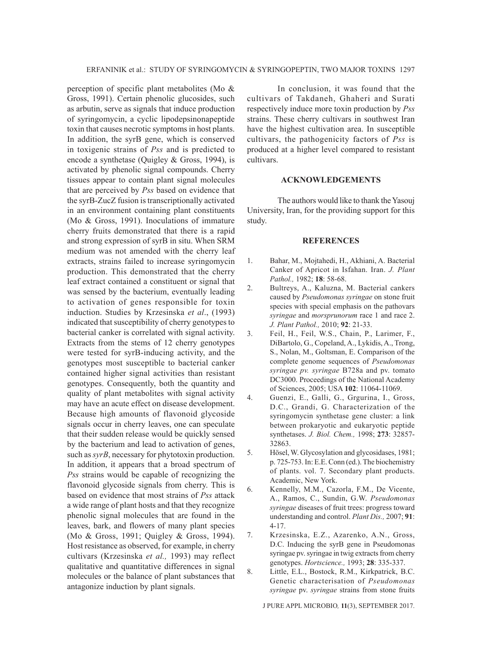perception of specific plant metabolites (Mo & Gross, 1991). Certain phenolic glucosides, such as arbutin, serve as signals that induce production of syringomycin, a cyclic lipodepsinonapeptide toxin that causes necrotic symptoms in host plants. In addition, the syrB gene, which is conserved in toxigenic strains of *Pss* and is predicted to encode a synthetase (Quigley & Gross, 1994), is activated by phenolic signal compounds. Cherry tissues appear to contain plant signal molecules that are perceived by *Pss* based on evidence that the syrB-ZucZ fusion is transcriptionally activated in an environment containing plant constituents (Mo & Gross, 1991). Inoculations of immature cherry fruits demonstrated that there is a rapid and strong expression of syrB in situ. When SRM medium was not amended with the cherry leaf extracts, strains failed to increase syringomycin production. This demonstrated that the cherry leaf extract contained a constituent or signal that was sensed by the bacterium, eventually leading to activation of genes responsible for toxin induction. Studies by Krzesinska *et al*., (1993) indicated that susceptibility of cherry genotypes to bacterial canker is correlated with signal activity. Extracts from the stems of 12 cherry genotypes were tested for syrB-inducing activity, and the genotypes most susceptible to bacterial canker contained higher signal activities than resistant genotypes. Consequently, both the quantity and quality of plant metabolites with signal activity may have an acute effect on disease development. Because high amounts of flavonoid glycoside signals occur in cherry leaves, one can speculate that their sudden release would be quickly sensed by the bacterium and lead to activation of genes, such as *syrB*, necessary for phytotoxin production. In addition, it appears that a broad spectrum of *Pss* strains would be capable of recognizing the flavonoid glycoside signals from cherry. This is based on evidence that most strains of *Pss* attack a wide range of plant hosts and that they recognize phenolic signal molecules that are found in the leaves, bark, and flowers of many plant species (Mo & Gross, 1991; Quigley & Gross, 1994). Host resistance as observed, for example, in cherry cultivars (Krzesinska *et al.,* 1993) may reflect qualitative and quantitative differences in signal molecules or the balance of plant substances that antagonize induction by plant signals.

In conclusion, it was found that the cultivars of Takdaneh, Ghaheri and Surati respectively induce more toxin production by *Pss* strains. These cherry cultivars in southwest Iran have the highest cultivation area. In susceptible cultivars, the pathogenicity factors of *Pss* is produced at a higher level compared to resistant cultivars.

### **ACKNOWLEDGEMENTS**

The authors would like to thank the Yasouj University, Iran, for the providing support for this study.

#### **REFERENCES**

- 1. Bahar, M., Mojtahedi, H., Akhiani, A. Bacterial Canker of Apricot in Isfahan. Iran. *J. Plant Pathol.,* 1982; **18**: 58-68.
- 2. Bultreys, A., Kaluzna, M. Bacterial cankers caused by *Pseudomonas syringae* on stone fruit species with special emphasis on the pathovars *syringae* and *morsprunorum* race 1 and race 2. *J. Plant Pathol.,* 2010; **92**: 21-33.
- 3. Feil, H., Feil, W.S., Chain, P., Larimer, F., DiBartolo, G., Copeland, A., Lykidis, A., Trong, S., Nolan, M., Goltsman, E. Comparison of the complete genome sequences of *Pseudomonas syringae pv. syringae* B728a and pv. tomato DC3000. Proceedings of the National Academy of Sciences, 2005; USA **102**: 11064-11069.
- 4. Guenzi, E., Galli, G., Grgurina, I., Gross, D.C., Grandi, G. Characterization of the syringomycin synthetase gene cluster: a link between prokaryotic and eukaryotic peptide synthetases. *J. Biol. Chem.,* 1998; **273**: 32857- 32863.
- 5. Hösel, W. Glycosylation and glycosidases, 1981; p. 725-753. In: E.E. Conn (ed.). The biochemistry of plants. vol. 7. Secondary plant products. Academic, New York.
- 6. Kennelly, M.M., Cazorla, F.M., De Vicente, A., Ramos, C., Sundin, G.W. *Pseudomonas syringae* diseases of fruit trees: progress toward understanding and control. *Plant Dis.,* 2007; **91**: 4-17.
- 7. Krzesinska, E.Z., Azarenko, A.N., Gross, D.C. Inducing the syrB gene in Pseudomonas syringae pv. syringae in twig extracts from cherry genotypes. *Hortscience.,* 1993; **28**: 335-337.
- 8. Little, E.L., Bostock, R.M., Kirkpatrick, B.C. Genetic characterisation of *Pseudomonas syringae* pv. *syringae* strains from stone fruits

J PURE APPL MICROBIO*,* **11**(3), SEPTEMBER 2017.